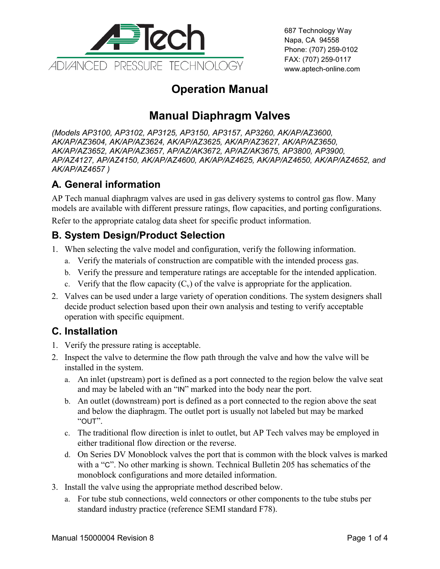

687 Technology Way Napa, CA 94558 Phone: (707) 259-0102 FAX: (707) 259-0117 www.aptech-online.com

## **Operation Manual**

# **Manual Diaphragm Valves**

*(Models AP3100, AP3102, AP3125, AP3150, AP3157, AP3260, AK/AP/AZ3600, AK/AP/AZ3604, AK/AP/AZ3624, AK/AP/AZ3625, AK/AP/AZ3627, AK/AP/AZ3650, AK/AP/AZ3652, AK/AP/AZ3657, AP/AZ/AK3672, AP/AZ/AK3675, AP3800, AP3900, AP/AZ4127, AP/AZ4150, AK/AP/AZ4600, AK/AP/AZ4625, AK/AP/AZ4650, AK/AP/AZ4652, and AK/AP/AZ4657 )*

## **A. General information**

AP Tech manual diaphragm valves are used in gas delivery systems to control gas flow. Many models are available with different pressure ratings, flow capacities, and porting configurations.

Refer to the appropriate catalog data sheet for specific product information.

#### **B. System Design/Product Selection**

- 1. When selecting the valve model and configuration, verify the following information.
	- a. Verify the materials of construction are compatible with the intended process gas.
	- b. Verify the pressure and temperature ratings are acceptable for the intended application.
	- c. Verify that the flow capacity  $(C_v)$  of the valve is appropriate for the application.
- 2. Valves can be used under a large variety of operation conditions. The system designers shall decide product selection based upon their own analysis and testing to verify acceptable operation with specific equipment.

#### **C. Installation**

- 1. Verify the pressure rating is acceptable.
- 2. Inspect the valve to determine the flow path through the valve and how the valve will be installed in the system.
	- a. An inlet (upstream) port is defined as a port connected to the region below the valve seat and may be labeled with an "IN" marked into the body near the port.
	- b. An outlet (downstream) port is defined as a port connected to the region above the seat and below the diaphragm. The outlet port is usually not labeled but may be marked "OUT".
	- c. The traditional flow direction is inlet to outlet, but AP Tech valves may be employed in either traditional flow direction or the reverse.
	- d. On Series DV Monoblock valves the port that is common with the block valves is marked with a "C". No other marking is shown. Technical Bulletin 205 has schematics of the monoblock configurations and more detailed information.
- 3. Install the valve using the appropriate method described below.
	- a. For tube stub connections, weld connectors or other components to the tube stubs per standard industry practice (reference SEMI standard F78).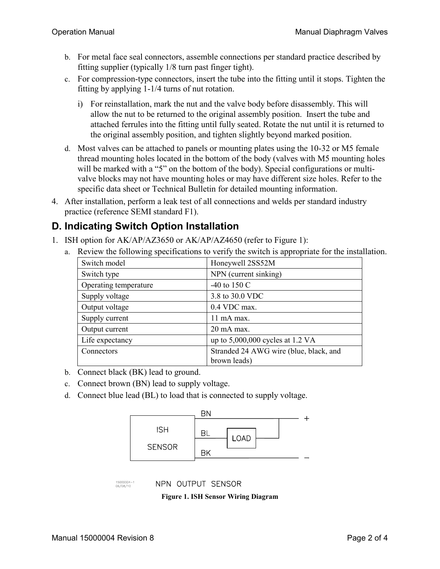- b. For metal face seal connectors, assemble connections per standard practice described by fitting supplier (typically 1/8 turn past finger tight).
- c. For compression-type connectors, insert the tube into the fitting until it stops. Tighten the fitting by applying 1-1/4 turns of nut rotation.
	- i) For reinstallation, mark the nut and the valve body before disassembly. This will allow the nut to be returned to the original assembly position. Insert the tube and attached ferrules into the fitting until fully seated. Rotate the nut until it is returned to the original assembly position, and tighten slightly beyond marked position.
- d. Most valves can be attached to panels or mounting plates using the 10-32 or M5 female thread mounting holes located in the bottom of the body (valves with M5 mounting holes will be marked with a "5" on the bottom of the body). Special configurations or multivalve blocks may not have mounting holes or may have different size holes. Refer to the specific data sheet or Technical Bulletin for detailed mounting information.
- 4. After installation, perform a leak test of all connections and welds per standard industry practice (reference SEMI standard F1).

#### **D. Indicating Switch Option Installation**

- 1. ISH option for AK/AP/AZ3650 or AK/AP/AZ4650 (refer to [Figure 1\)](#page-1-0):
	- a. Review the following specifications to verify the switch is appropriate for the installation.

| Switch model          | Honeywell 2SS52M                                       |
|-----------------------|--------------------------------------------------------|
| Switch type           | NPN (current sinking)                                  |
| Operating temperature | -40 to 150 $C$                                         |
| Supply voltage        | 3.8 to 30.0 VDC                                        |
| Output voltage        | 0.4 VDC max.                                           |
| Supply current        | 11 mA max.                                             |
| Output current        | 20 mA max.                                             |
| Life expectancy       | up to $5,000,000$ cycles at 1.2 VA                     |
| Connectors            | Stranded 24 AWG wire (blue, black, and<br>brown leads) |

- b. Connect black (BK) lead to ground.
- c. Connect brown (BN) lead to supply voltage.
- d. Connect blue lead (BL) to load that is connected to supply voltage.



<span id="page-1-0"></span>15000004-1<br>06/08/10

NPN OUTPUT SENSOR

**Figure 1. ISH Sensor Wiring Diagram**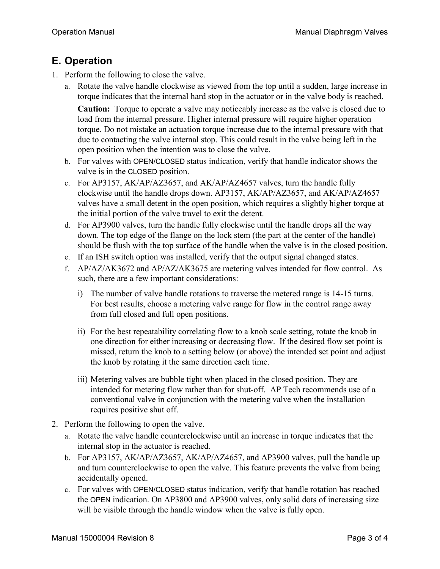### **E. Operation**

- 1. Perform the following to close the valve.
	- a. Rotate the valve handle clockwise as viewed from the top until a sudden, large increase in torque indicates that the internal hard stop in the actuator or in the valve body is reached.

**Caution:** Torque to operate a valve may noticeably increase as the valve is closed due to load from the internal pressure. Higher internal pressure will require higher operation torque. Do not mistake an actuation torque increase due to the internal pressure with that due to contacting the valve internal stop. This could result in the valve being left in the open position when the intention was to close the valve.

- b. For valves with OPEN/CLOSED status indication, verify that handle indicator shows the valve is in the CLOSED position.
- c. For AP3157, AK/AP/AZ3657, and AK/AP/AZ4657 valves, turn the handle fully clockwise until the handle drops down. AP3157, AK/AP/AZ3657, and AK/AP/AZ4657 valves have a small detent in the open position, which requires a slightly higher torque at the initial portion of the valve travel to exit the detent.
- d. For AP3900 valves, turn the handle fully clockwise until the handle drops all the way down. The top edge of the flange on the lock stem (the part at the center of the handle) should be flush with the top surface of the handle when the valve is in the closed position.
- e. If an ISH switch option was installed, verify that the output signal changed states.
- f. AP/AZ/AK3672 and AP/AZ/AK3675 are metering valves intended for flow control. As such, there are a few important considerations:
	- i) The number of valve handle rotations to traverse the metered range is 14-15 turns. For best results, choose a metering valve range for flow in the control range away from full closed and full open positions.
	- ii) For the best repeatability correlating flow to a knob scale setting, rotate the knob in one direction for either increasing or decreasing flow. If the desired flow set point is missed, return the knob to a setting below (or above) the intended set point and adjust the knob by rotating it the same direction each time.
	- iii) Metering valves are bubble tight when placed in the closed position. They are intended for metering flow rather than for shut-off. AP Tech recommends use of a conventional valve in conjunction with the metering valve when the installation requires positive shut off.
- 2. Perform the following to open the valve.
	- a. Rotate the valve handle counterclockwise until an increase in torque indicates that the internal stop in the actuator is reached.
	- b. For AP3157, AK/AP/AZ3657, AK/AP/AZ4657, and AP3900 valves, pull the handle up and turn counterclockwise to open the valve. This feature prevents the valve from being accidentally opened.
	- c. For valves with OPEN/CLOSED status indication, verify that handle rotation has reached the OPEN indication. On AP3800 and AP3900 valves, only solid dots of increasing size will be visible through the handle window when the valve is fully open.